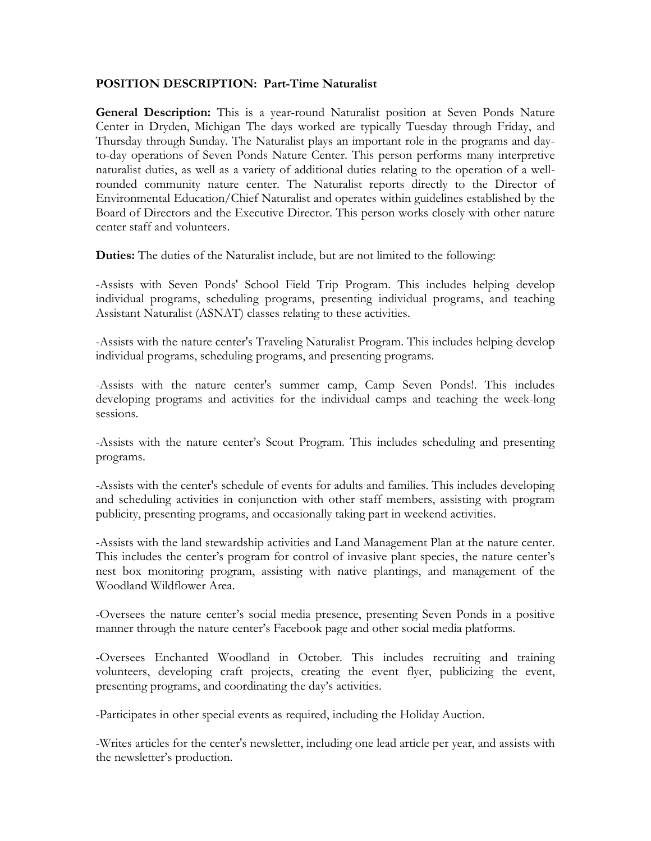## **POSITION DESCRIPTION: Part-Time Naturalist**

**General Description:** This is a year-round Naturalist position at Seven Ponds Nature Center in Dryden, Michigan The days worked are typically Tuesday through Friday, and Thursday through Sunday. The Naturalist plays an important role in the programs and dayto-day operations of Seven Ponds Nature Center. This person performs many interpretive naturalist duties, as well as a variety of additional duties relating to the operation of a wellrounded community nature center. The Naturalist reports directly to the Director of Environmental Education/Chief Naturalist and operates within guidelines established by the Board of Directors and the Executive Director. This person works closely with other nature center staff and volunteers.

**Duties:** The duties of the Naturalist include, but are not limited to the following:

-Assists with Seven Ponds' School Field Trip Program. This includes helping develop individual programs, scheduling programs, presenting individual programs, and teaching Assistant Naturalist (ASNAT) classes relating to these activities.

-Assists with the nature center's Traveling Naturalist Program. This includes helping develop individual programs, scheduling programs, and presenting programs.

-Assists with the nature center's summer camp, Camp Seven Ponds!. This includes developing programs and activities for the individual camps and teaching the week-long sessions.

-Assists with the nature center's Scout Program. This includes scheduling and presenting programs.

-Assists with the center's schedule of events for adults and families. This includes developing and scheduling activities in conjunction with other staff members, assisting with program publicity, presenting programs, and occasionally taking part in weekend activities.

-Assists with the land stewardship activities and Land Management Plan at the nature center. This includes the center's program for control of invasive plant species, the nature center's nest box monitoring program, assisting with native plantings, and management of the Woodland Wildflower Area.

-Oversees the nature center's social media presence, presenting Seven Ponds in a positive manner through the nature center's Facebook page and other social media platforms.

-Oversees Enchanted Woodland in October. This includes recruiting and training volunteers, developing craft projects, creating the event flyer, publicizing the event, presenting programs, and coordinating the day's activities.

-Participates in other special events as required, including the Holiday Auction.

-Writes articles for the center's newsletter, including one lead article per year, and assists with the newsletter's production.